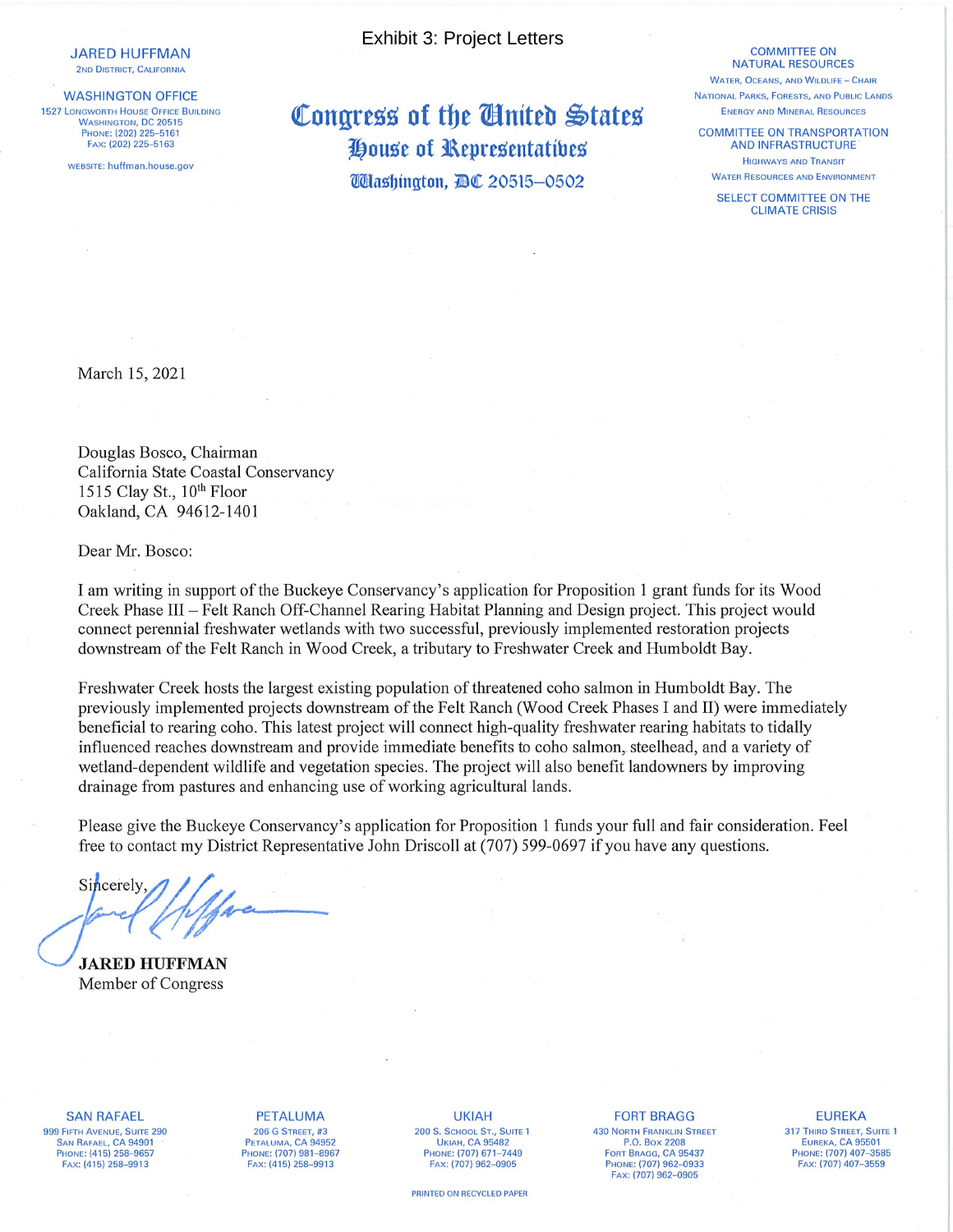**JARED HUFFMAN** 2ND DISTRICT, CALIFORNIA

**WASHINGTON OFFICE 1527 LONGWORTH HOUSE OFFICE BUILDING WASHINGTON, DC 20515** PHONE: (202) 225-5161 FAX: (202) 225-5163

WEBSITE: huffman.house.gov

**Exhibit 3: Project Letters** 

Congress of the Cinited States House of Representatives **Washington, BC 20515-0502** 

## **COMMITTEE ON NATURAL RESOURCES**

**WATER, OCEANS, AND WILDLIFE - CHAIR** NATIONAL PARKS, FORESTS, AND PUBLIC LANDS ENERGY AND MINERAL RESOURCES

**COMMITTEE ON TRANSPORTATION AND INFRASTRUCTURE HIGHWAYS AND TRANSIT WATER RESOURCES AND ENVIRONMENT** 

SELECT COMMITTEE ON THE **CLIMATE CRISIS** 

March 15, 2021

Douglas Bosco, Chairman California State Coastal Conservancy 1515 Clay St., 10<sup>th</sup> Floor Oakland, CA 94612-1401

Dear Mr. Bosco:

I am writing in support of the Buckeye Conservancy's application for Proposition 1 grant funds for its Wood Creek Phase III – Felt Ranch Off-Channel Rearing Habitat Planning and Design project. This project would connect perennial freshwater wetlands with two successful, previously implemented restoration projects downstream of the Felt Ranch in Wood Creek, a tributary to Freshwater Creek and Humboldt Bay.

Freshwater Creek hosts the largest existing population of threatened coho salmon in Humboldt Bay. The previously implemented projects downstream of the Felt Ranch (Wood Creek Phases I and II) were immediately beneficial to rearing coho. This latest project will connect high-quality freshwater rearing habitats to tidally influenced reaches downstream and provide immediate benefits to coho salmon, steelhead, and a variety of wetland-dependent wildlife and vegetation species. The project will also benefit landowners by improving drainage from pastures and enhancing use of working agricultural lands.

Please give the Buckeye Conservancy's application for Proposition 1 funds your full and fair consideration. Feel free to contact my District Representative John Driscoll at (707) 599-0697 if you have any questions.

Sincerely

**JARED HUFFMAN** Member of Congress

**SAN RAFAEL** 999 FIFTH AVENUE, SUITE 290 SAN RAFAEL, CA 94901 PHONE: (415) 258-9657 FAX: (415) 258-9913

**PETALUMA 206 G STREET, #3** PETALUMA, CA 94952 PHONE: (707) 981-8967 FAX: (415) 258-9913

**UKIAH** 200 S. SCHOOL ST., SUITE 1 **UKIAH, CA 95482** PHONE: (707) 671-7449 FAX: (707) 962-0905

PRINTED ON RECYCLED PAPER

**FORT BRAGG 430 NORTH FRANKLIN STREET** P.O. Box 2208 FORT BRAGG, CA 95437<br>PHONE: (707) 962-0933 Fax: (707) 962-0905

## **EUREKA** 317 THIRD STREET, SUITE 1 EUREKA, CA 95501 PHONE: (707) 407-3585 FAX: (707) 407-3559